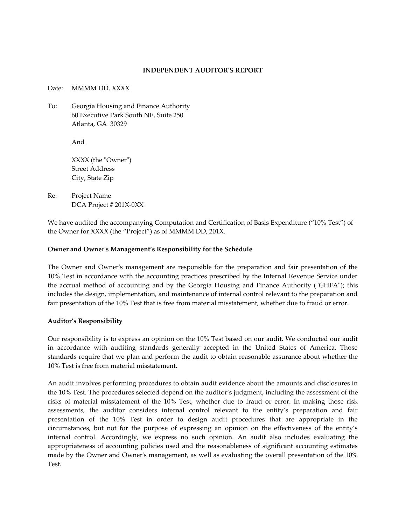### **INDEPENDENT AUDITOR'S REPORT**

Date: MMMM DD, XXXX

To: Georgia Housing and Finance Authority 60 Executive Park South NE, Suite 250 Atlanta, GA 30329

And

XXXX (the "Owner") Street Address City, State Zip

Re: Project Name DCA Project # 201X-0XX

We have audited the accompanying Computation and Certification of Basis Expenditure ("10% Test") of the Owner for XXXX (the "Project") as of MMMM DD, 201X.

## **Owner and Owner's Management's Responsibility for the Schedule**

The Owner and Owner's management are responsible for the preparation and fair presentation of the 10% Test in accordance with the accounting practices prescribed by the Internal Revenue Service under the accrual method of accounting and by the Georgia Housing and Finance Authority ("GHFA"); this includes the design, implementation, and maintenance of internal control relevant to the preparation and fair presentation of the 10% Test that is free from material misstatement, whether due to fraud or error.

### **Auditor's Responsibility**

Our responsibility is to express an opinion on the 10% Test based on our audit. We conducted our audit in accordance with auditing standards generally accepted in the United States of America. Those standards require that we plan and perform the audit to obtain reasonable assurance about whether the 10% Test is free from material misstatement.

An audit involves performing procedures to obtain audit evidence about the amounts and disclosures in the 10% Test. The procedures selected depend on the auditor's judgment, including the assessment of the risks of material misstatement of the 10% Test, whether due to fraud or error. In making those risk assessments, the auditor considers internal control relevant to the entity's preparation and fair presentation of the 10% Test in order to design audit procedures that are appropriate in the circumstances, but not for the purpose of expressing an opinion on the effectiveness of the entity's internal control. Accordingly, we express no such opinion. An audit also includes evaluating the appropriateness of accounting policies used and the reasonableness of significant accounting estimates made by the Owner and Owner's management, as well as evaluating the overall presentation of the 10% Test.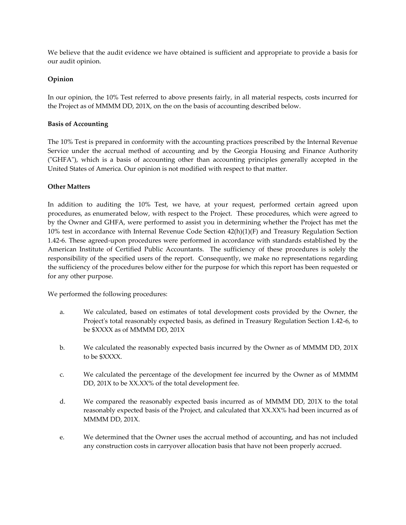We believe that the audit evidence we have obtained is sufficient and appropriate to provide a basis for our audit opinion.

# **Opinion**

In our opinion, the 10% Test referred to above presents fairly, in all material respects, costs incurred for the Project as of MMMM DD, 201X, on the on the basis of accounting described below.

## **Basis of Accounting**

The 10% Test is prepared in conformity with the accounting practices prescribed by the Internal Revenue Service under the accrual method of accounting and by the Georgia Housing and Finance Authority ("GHFA"), which is a basis of accounting other than accounting principles generally accepted in the United States of America. Our opinion is not modified with respect to that matter.

## **Other Matters**

In addition to auditing the 10% Test, we have, at your request, performed certain agreed upon procedures, as enumerated below, with respect to the Project. These procedures, which were agreed to by the Owner and GHFA, were performed to assist you in determining whether the Project has met the 10% test in accordance with Internal Revenue Code Section 42(h)(1)(F) and Treasury Regulation Section 1.42-6. These agreed-upon procedures were performed in accordance with standards established by the American Institute of Certified Public Accountants. The sufficiency of these procedures is solely the responsibility of the specified users of the report. Consequently, we make no representations regarding the sufficiency of the procedures below either for the purpose for which this report has been requested or for any other purpose.

We performed the following procedures:

- a. We calculated, based on estimates of total development costs provided by the Owner, the Project's total reasonably expected basis, as defined in Treasury Regulation Section 1.42-6, to be \$XXXX as of MMMM DD, 201X
- b. We calculated the reasonably expected basis incurred by the Owner as of MMMM DD, 201X to be \$XXXX.
- c. We calculated the percentage of the development fee incurred by the Owner as of MMMM DD, 201X to be XX.XX% of the total development fee.
- d. We compared the reasonably expected basis incurred as of MMMM DD, 201X to the total reasonably expected basis of the Project, and calculated that XX.XX% had been incurred as of MMMM DD, 201X.
- e. We determined that the Owner uses the accrual method of accounting, and has not included any construction costs in carryover allocation basis that have not been properly accrued.